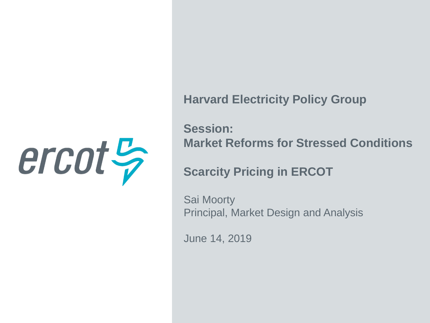

**Harvard Electricity Policy Group**

**Session: Market Reforms for Stressed Conditions**

**Scarcity Pricing in ERCOT**

Sai Moorty Principal, Market Design and Analysis

June 14, 2019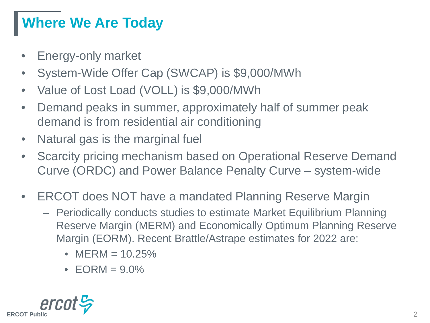# **Where We Are Today**

- Energy-only market
- System-Wide Offer Cap (SWCAP) is \$9,000/MWh
- Value of Lost Load (VOLL) is \$9,000/MWh
- Demand peaks in summer, approximately half of summer peak demand is from residential air conditioning
- Natural gas is the marginal fuel
- Scarcity pricing mechanism based on Operational Reserve Demand Curve (ORDC) and Power Balance Penalty Curve – system-wide
- ERCOT does NOT have a mandated Planning Reserve Margin
	- Periodically conducts studies to estimate Market Equilibrium Planning Reserve Margin (MERM) and Economically Optimum Planning Reserve Margin (EORM). Recent Brattle/Astrape estimates for 2022 are:
		- $MERM = 10.25\%$
		- $\bullet$  EORM = 9.0%

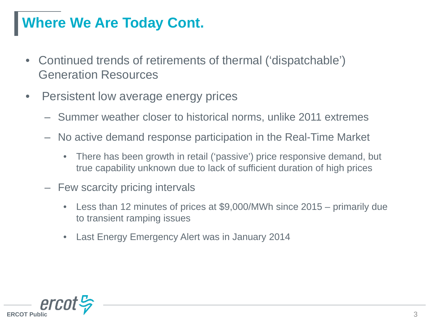# **Where We Are Today Cont.**

- Continued trends of retirements of thermal ('dispatchable') Generation Resources
- Persistent low average energy prices
	- ‒ Summer weather closer to historical norms, unlike 2011 extremes
	- ‒ No active demand response participation in the Real-Time Market
		- There has been growth in retail ('passive') price responsive demand, but true capability unknown due to lack of sufficient duration of high prices
	- Few scarcity pricing intervals
		- Less than 12 minutes of prices at \$9,000/MWh since 2015 primarily due to transient ramping issues
		- Last Energy Emergency Alert was in January 2014

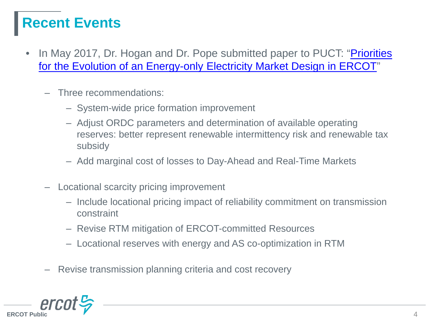# **Recent Events**

- In May 2017, Dr. Hogan and Dr. Pope submitted paper to PUCT: "Priorities" [for the Evolution of an Energy-only Electricity Market Design in ERCOT"](http://interchange.puc.texas.gov/Documents/47199_2_941113.PDF)
	- ‒ Three recommendations:
		- ‒ System-wide price formation improvement
		- ‒ Adjust ORDC parameters and determination of available operating reserves: better represent renewable intermittency risk and renewable tax subsidy
		- ‒ Add marginal cost of losses to Day-Ahead and Real-Time Markets
	- ‒ Locational scarcity pricing improvement
		- ‒ Include locational pricing impact of reliability commitment on transmission constraint
		- ‒ Revise RTM mitigation of ERCOT-committed Resources
		- ‒ Locational reserves with energy and AS co-optimization in RTM
	- ‒ Revise transmission planning criteria and cost recovery

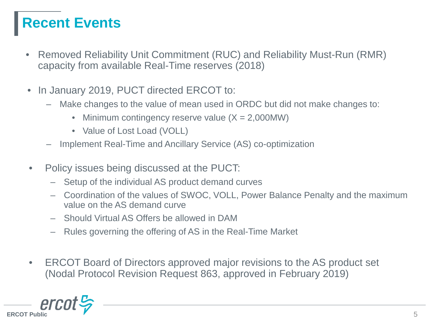# **Recent Events**

- Removed Reliability Unit Commitment (RUC) and Reliability Must-Run (RMR) capacity from available Real-Time reserves (2018)
- In January 2019, PUCT directed ERCOT to:
	- ‒ Make changes to the value of mean used in ORDC but did not make changes to:
		- Minimum contingency reserve value  $(X = 2,000MW)$
		- Value of Lost Load (VOLL)
	- ‒ Implement Real-Time and Ancillary Service (AS) co-optimization
- Policy issues being discussed at the PUCT:
	- Setup of the individual AS product demand curves
	- Coordination of the values of SWOC, VOLL, Power Balance Penalty and the maximum value on the AS demand curve
	- Should Virtual AS Offers be allowed in DAM
	- Rules governing the offering of AS in the Real-Time Market
- ERCOT Board of Directors approved major revisions to the AS product set (Nodal Protocol Revision Request 863, approved in February 2019)

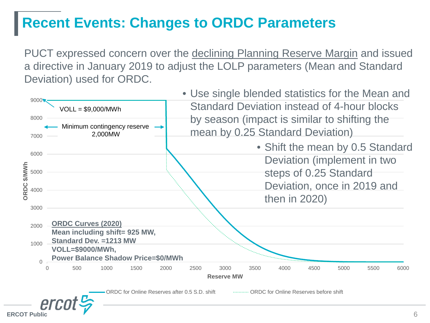### **Recent Events: Changes to ORDC Parameters**

PUCT expressed concern over the declining Planning Reserve Margin and issued a directive in January 2019 to adjust the LOLP parameters (Mean and Standard Deviation) used for ORDC.

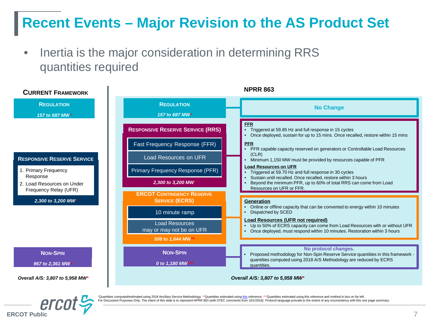# **Recent Events – Major Revision to the AS Product Set**

• Inertia is the major consideration in determining RRS quantities required





'Quantities computed/estimated using 2018 Ancillary Service Methodology. \*\*Quantities estimated using [this](http://www.ercot.com/content/wcm/key_documents_lists/73770/FAS_CBA_2016_AS_Quantities_11032015.xlsx) reference. \*\*\*Quantities estimated using this reference and method in box on far left. ssion Purposes Only. The intent of this slide is to represent NPRR 863 (with STEC comments from 10/1/2018). Protocol language prevails to the extent of any inconsistency with this one page summary.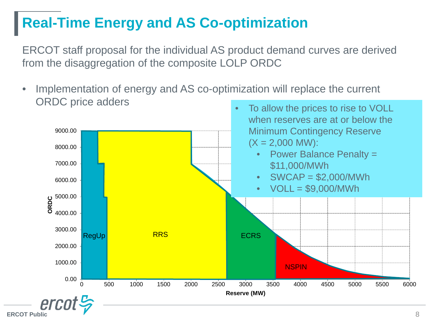### **Real-Time Energy and AS Co-optimization**

ERCOT staff proposal for the individual AS product demand curves are derived from the disaggregation of the composite LOLP ORDC

Implementation of energy and AS co-optimization will replace the current ORDC price adders To allow the prices to rise to VOLL

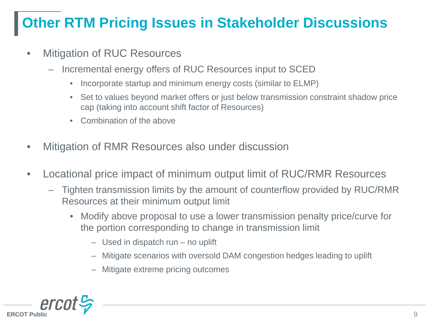# **Other RTM Pricing Issues in Stakeholder Discussions**

- **Mitigation of RUC Resources** 
	- Incremental energy offers of RUC Resources input to SCED
		- Incorporate startup and minimum energy costs (similar to ELMP)
		- Set to values beyond market offers or just below transmission constraint shadow price cap (taking into account shift factor of Resources)
		- Combination of the above
- Mitigation of RMR Resources also under discussion
- Locational price impact of minimum output limit of RUC/RMR Resources
	- Tighten transmission limits by the amount of counterflow provided by RUC/RMR Resources at their minimum output limit
		- Modify above proposal to use a lower transmission penalty price/curve for the portion corresponding to change in transmission limit
			- Used in dispatch run no uplift
			- Mitigate scenarios with oversold DAM congestion hedges leading to uplift
			- Mitigate extreme pricing outcomes

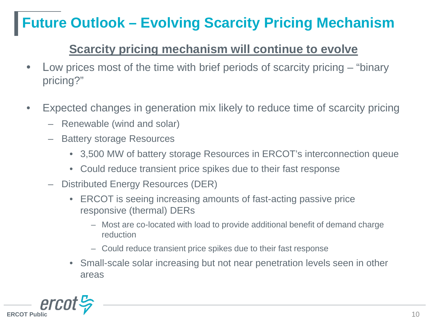# **Future Outlook – Evolving Scarcity Pricing Mechanism**

#### **Scarcity pricing mechanism will continue to evolve**

- Low prices most of the time with brief periods of scarcity pricing "binary pricing?"
- Expected changes in generation mix likely to reduce time of scarcity pricing
	- Renewable (wind and solar)
	- Battery storage Resources
		- 3,500 MW of battery storage Resources in ERCOT's interconnection queue
		- Could reduce transient price spikes due to their fast response
	- Distributed Energy Resources (DER)
		- ERCOT is seeing increasing amounts of fast-acting passive price responsive (thermal) DERs
			- Most are co-located with load to provide additional benefit of demand charge reduction
			- Could reduce transient price spikes due to their fast response
		- Small-scale solar increasing but not near penetration levels seen in other areas

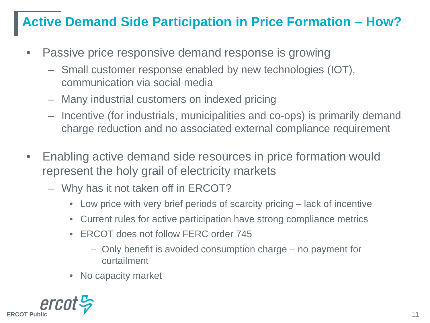#### **Active Demand Side Participation in Price Formation – How?**

- Passive price responsive demand response is growing
	- Small customer response enabled by new technologies (IOT), communication via social media
	- Many industrial customers on indexed pricing
	- Incentive (for industrials, municipalities and co-ops) is primarily demand charge reduction and no associated external compliance requirement
- Enabling active demand side resources in price formation would represent the holy grail of electricity markets
	- Why has it not taken off in ERCOT?
		- Low price with very brief periods of scarcity pricing lack of incentive
		- Current rules for active participation have strong compliance metrics
		- ERCOT does not follow FERC order 745
			- Only benefit is avoided consumption charge no payment for curtailment
		- No capacity market

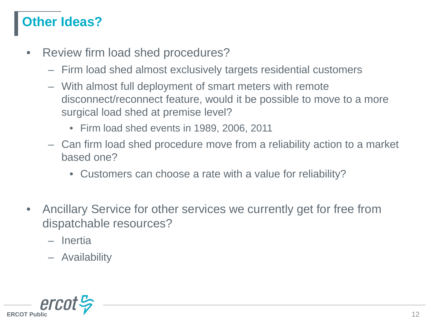#### **Other Ideas?**

- Review firm load shed procedures?
	- Firm load shed almost exclusively targets residential customers
	- With almost full deployment of smart meters with remote disconnect/reconnect feature, would it be possible to move to a more surgical load shed at premise level?
		- Firm load shed events in 1989, 2006, 2011
	- Can firm load shed procedure move from a reliability action to a market based one?
		- Customers can choose a rate with a value for reliability?
- Ancillary Service for other services we currently get for free from dispatchable resources?
	- Inertia
	- Availability

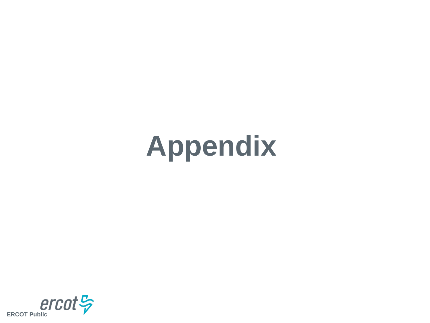# **Appendix**

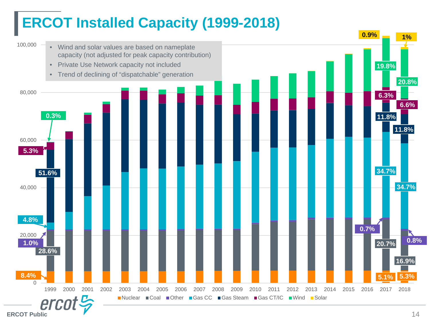# **ERCOT Installed Capacity (1999-2018)**

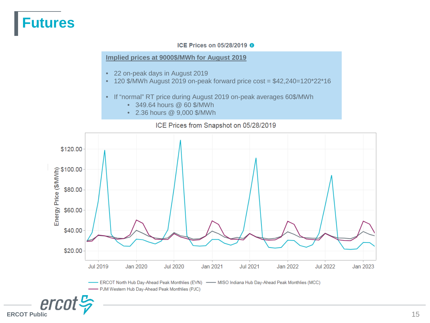#### **Futures**

#### ICE Prices on 05/28/2019 @

#### **Implied prices at 9000\$/MWh for August 2019**

- 22 on-peak days in August 2019
- 120 \$/MWh August 2019 on-peak forward price cost =  $$42,240=120^{\circ}22^{\circ}16$
- If "normal" RT price during August 2019 on-peak averages 60\$/MWh
	- 349.64 hours @ 60 \$/MWh
	- 2.36 hours @ 9,000 \$/MWh



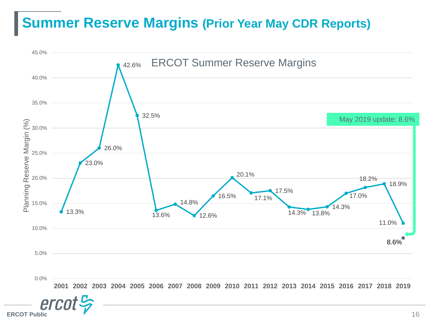#### **Summer Reserve Margins (Prior Year May CDR Reports)**

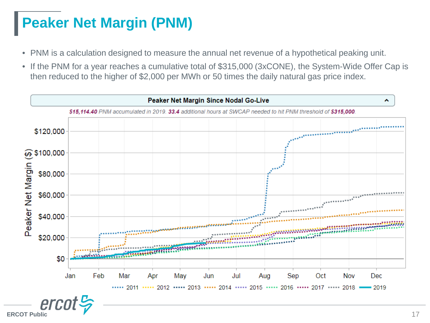# **Peaker Net Margin (PNM)**

- PNM is a calculation designed to measure the annual net revenue of a hypothetical peaking unit.
- If the PNM for a year reaches a cumulative total of \$315,000 (3xCONE), the System-Wide Offer Cap is then reduced to the higher of \$2,000 per MWh or 50 times the daily natural gas price index.

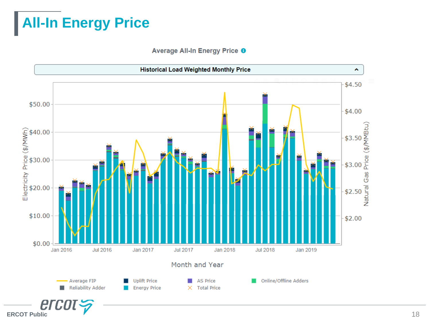# **All-In Energy Price**

Average All-In Energy Price <sup>O</sup>

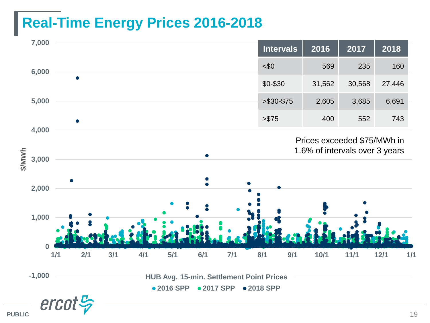# **Real-Time Energy Prices 2016-2018**



**PUBLIC**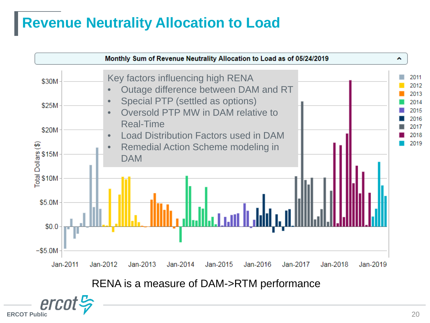# **Revenue Neutrality Allocation to Load**

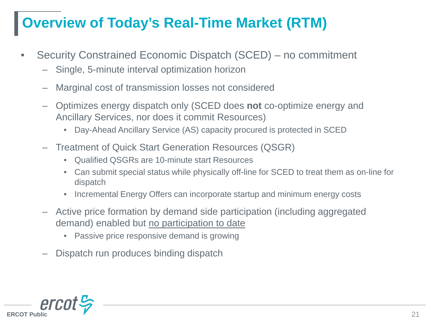# **Overview of Today's Real-Time Market (RTM)**

- Security Constrained Economic Dispatch (SCED) no commitment
	- Single, 5-minute interval optimization horizon
	- Marginal cost of transmission losses not considered
	- Optimizes energy dispatch only (SCED does **not** co-optimize energy and Ancillary Services, nor does it commit Resources)
		- Day-Ahead Ancillary Service (AS) capacity procured is protected in SCED
	- Treatment of Quick Start Generation Resources (QSGR)
		- Qualified QSGRs are 10-minute start Resources
		- Can submit special status while physically off-line for SCED to treat them as on-line for dispatch
		- Incremental Energy Offers can incorporate startup and minimum energy costs
	- Active price formation by demand side participation (including aggregated demand) enabled but no participation to date
		- Passive price responsive demand is growing
	- Dispatch run produces binding dispatch

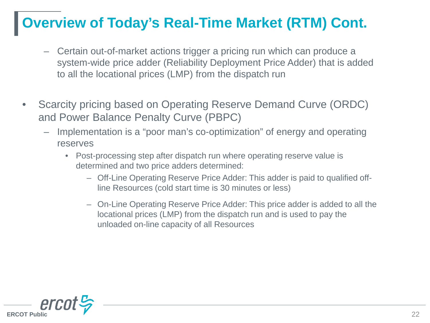# **Overview of Today's Real-Time Market (RTM) Cont.**

- Certain out-of-market actions trigger a pricing run which can produce a system-wide price adder (Reliability Deployment Price Adder) that is added to all the locational prices (LMP) from the dispatch run
- Scarcity pricing based on Operating Reserve Demand Curve (ORDC) and Power Balance Penalty Curve (PBPC)
	- Implementation is a "poor man's co-optimization" of energy and operating reserves
		- Post-processing step after dispatch run where operating reserve value is determined and two price adders determined:
			- Off-Line Operating Reserve Price Adder: This adder is paid to qualified offline Resources (cold start time is 30 minutes or less)
			- On-Line Operating Reserve Price Adder: This price adder is added to all the locational prices (LMP) from the dispatch run and is used to pay the unloaded on-line capacity of all Resources